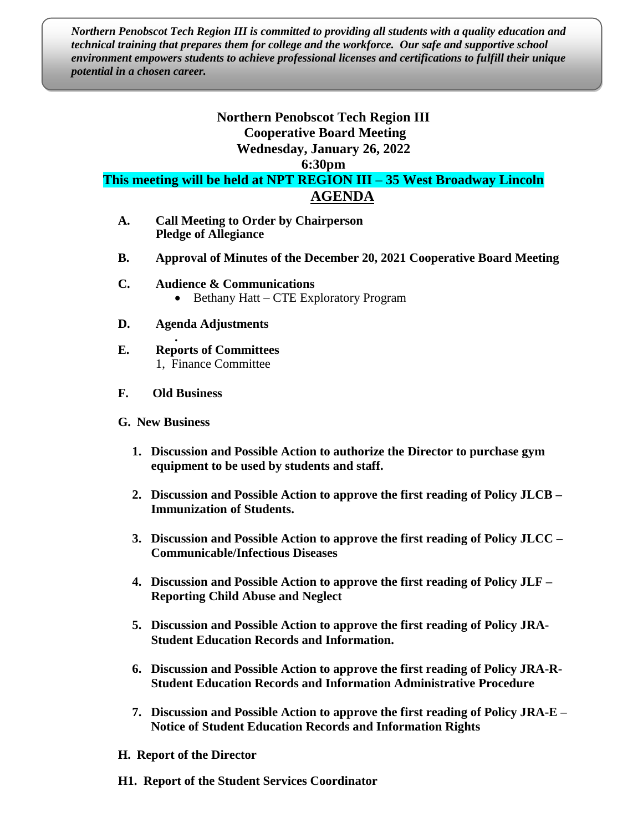*Northern Penobscot Tech Region III is committed to providing all students with a quality education and technical training that prepares them for college and the workforce. Our safe and supportive school environment empowers students to achieve professional licenses and certifications to fulfill their unique potential in a chosen career.*

## **Northern Penobscot Tech Region III Cooperative Board Meeting Wednesday, January 26, 2022**

**6:30pm**

**This meeting will be held at NPT REGION III – 35 West Broadway Lincoln AGENDA**

- **A. Call Meeting to Order by Chairperson Pledge of Allegiance**
- **B. Approval of Minutes of the December 20, 2021 Cooperative Board Meeting**
- **C. Audience & Communications** • Bethany Hatt – CTE Exploratory Program
- **D. Agenda Adjustments .**
- **E. Reports of Committees** 1, Finance Committee
- **F. Old Business**
- **G. New Business**
	- **1. Discussion and Possible Action to authorize the Director to purchase gym equipment to be used by students and staff.**
	- **2. Discussion and Possible Action to approve the first reading of Policy JLCB – Immunization of Students.**
	- **3. Discussion and Possible Action to approve the first reading of Policy JLCC – Communicable/Infectious Diseases**
	- **4. Discussion and Possible Action to approve the first reading of Policy JLF – Reporting Child Abuse and Neglect**
	- **5. Discussion and Possible Action to approve the first reading of Policy JRA-Student Education Records and Information.**
	- **6. Discussion and Possible Action to approve the first reading of Policy JRA-R-Student Education Records and Information Administrative Procedure**
	- **7. Discussion and Possible Action to approve the first reading of Policy JRA-E – Notice of Student Education Records and Information Rights**
- **H. Report of the Director**
- **H1. Report of the Student Services Coordinator**